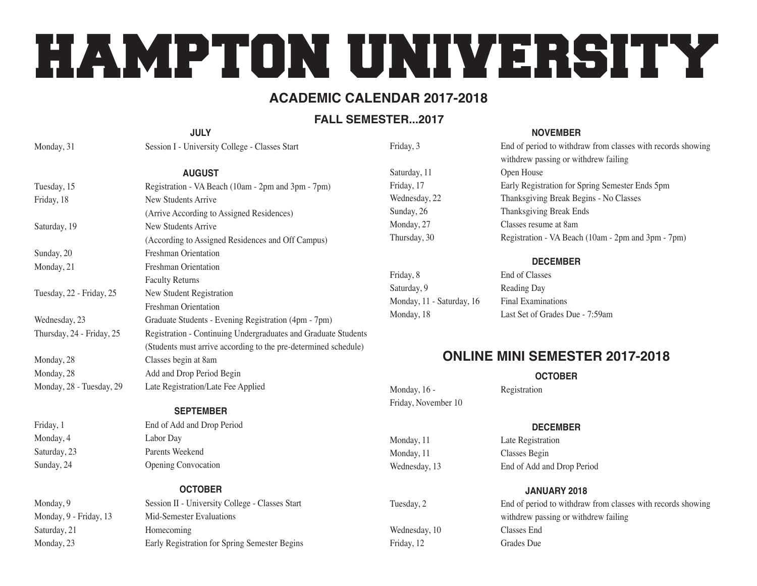# HAMPTON UNIVERSITY

#### **Academic Calendar 2017-2018**

#### **FALL SEMESTER...2017**

| <b>JULY</b>               |                                                                 |  |
|---------------------------|-----------------------------------------------------------------|--|
| Monday, 31                | Session I - University College - Classes Start                  |  |
| <b>AUGUST</b>             |                                                                 |  |
| Tuesday, 15               | Registration - VA Beach (10am - 2pm and 3pm - 7pm)              |  |
| Friday, 18                | New Students Arrive                                             |  |
|                           | (Arrive According to Assigned Residences)                       |  |
| Saturday, 19              | New Students Arrive                                             |  |
|                           | (According to Assigned Residences and Off Campus)               |  |
| Sunday, 20                | Freshman Orientation                                            |  |
| Monday, 21                | Freshman Orientation                                            |  |
|                           | <b>Faculty Returns</b>                                          |  |
| Tuesday, 22 - Friday, 25  | New Student Registration                                        |  |
|                           | Freshman Orientation                                            |  |
| Wednesday, 23             | Graduate Students - Evening Registration (4pm - 7pm)            |  |
| Thursday, 24 - Friday, 25 | Registration - Continuing Undergraduates and Graduate Students  |  |
|                           | (Students must arrive according to the pre-determined schedule) |  |
| Monday, 28                | Classes begin at 8am                                            |  |
| Monday, 28                | Add and Drop Period Begin                                       |  |
| Monday, 28 - Tuesday, 29  | Late Registration/Late Fee Applied                              |  |
|                           | <b>CEDTEMBED</b>                                                |  |

#### **September**

Friday, 1 End of Add and Drop Period Monday, 4 Labor Day Saturday, 23 **Parents Weekend** Sunday, 24 Opening Convocation

### Saturday, 21 Homecoming

#### **October** Monday, 9 Session II - University College - Classes Start Monday, 9 - Friday, 13 Mid-Semester Evaluations Monday, 23 Early Registration for Spring Semester Begins

Friday, 3 End of period to withdraw from classes with records showing

Saturday, 11 Open House Friday, 17 Early Registration for Spring Semester Ends 5pm Wednesday, 22 Thanksgiving Break Begins - No Classes Sunday, 26 Thanksgiving Break Ends Monday, 27 Classes resume at 8am Thursday, 30 Registration - VA Beach (10am - 2pm and 3pm - 7pm)

| Friday, 8                 |  |
|---------------------------|--|
| Saturday, 9               |  |
| Monday, 11 - Saturday, 16 |  |
| Monday, 18                |  |

**December** End of Classes Reading Day **Final Examinations** Last Set of Grades Due - 7:59am

**November**

withdrew passing or withdrew failing

### **Online Mini Semester 2017-2018**

**October**

Monday, 16 - Registration Friday, November 10

#### **December**

Monday, 11 Late Registration Monday, 11 Classes Begin Wednesday, 13 End of Add and Drop Period

#### **January 2018**

Tuesday, 2 End of period to withdraw from classes with records showing withdrew passing or withdrew failing Wednesday, 10 Classes End Friday, 12 Grades Due